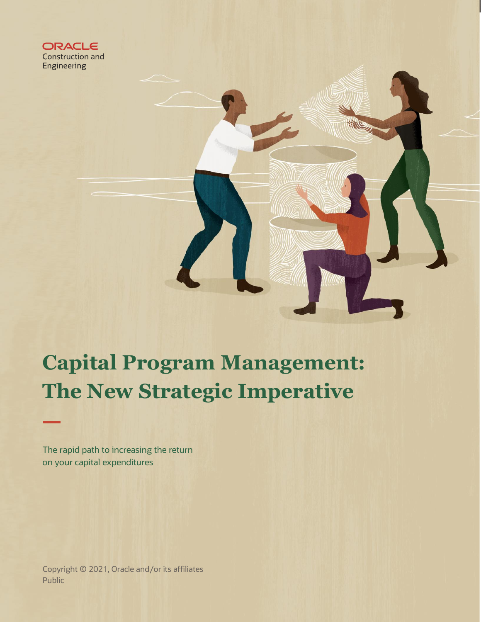

# **Capital Program Management: The New Strategic Imperative**

The rapid path to increasing the return on your capital expenditures

**1 Business Brief** / Capital Program Management: The New Strategic Imperative Copyright © 2021, Oracle and/or its affiliates Public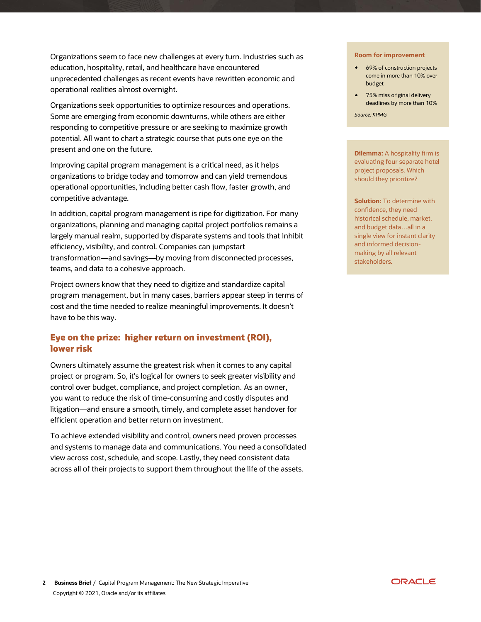Organizations seem to face new challenges at every turn. Industries such as education, hospitality, retail, and healthcare have encountered unprecedented challenges as recent events have rewritten economic and operational realities almost overnight.

Organizations seek opportunities to optimize resources and operations. Some are emerging from economic downturns, while others are either responding to competitive pressure or are seeking to maximize growth potential. All want to chart a strategic course that puts one eye on the present and one on the future.

Improving capital program management is a critical need, as it helps organizations to bridge today and tomorrow and can yield tremendous operational opportunities, including better cash flow, faster growth, and competitive advantage.

In addition, capital program management is ripe for digitization. For many organizations, planning and managing capital project portfolios remains a largely manual realm, supported by disparate systems and tools that inhibit efficiency, visibility, and control. Companies can jumpstart transformation―and savings―by moving from disconnected processes, teams, and data to a cohesive approach.

Project owners know that they need to digitize and standardize capital program management, but in many cases, barriers appear steep in terms of cost and the time needed to realize meaningful improvements. It doesn't have to be this way.

# **Eye on the prize: higher return on investment (ROI), lower risk**

Owners ultimately assume the greatest risk when it comes to any capital project or program. So, it's logical for owners to seek greater visibility and control over budget, compliance, and project completion. As an owner, you want to reduce the risk of time-consuming and costly disputes and litigation―and ensure a smooth, timely, and complete asset handover for efficient operation and better return on investment.

To achieve extended visibility and control, owners need proven processes and systems to manage data and communications. You need a consolidated view across cost, schedule, and scope. Lastly, they need consistent data across all of their projects to support them throughout the life of the assets.

#### **Room for improvement**

- 69% of construction projects come in more than 10% over budget
- 75% miss original delivery deadlines by more than 10%

*Source: KPMG*

**Dilemma:** A hospitality firm is evaluating four separate hotel project proposals. Which should they prioritize?

**Solution:** To determine with confidence, they need historical schedule, market, and budget data…all in a single view for instant clarity and informed decisionmaking by all relevant stakeholders.

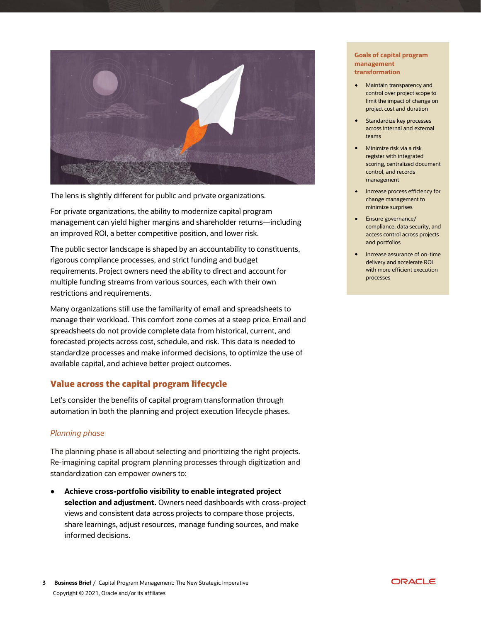

The lens is slightly different for public and private organizations.

For private organizations, the ability to modernize capital program management can yield higher margins and shareholder returns―including an improved ROI, a better competitive position, and lower risk.

The public sector landscape is shaped by an accountability to constituents, rigorous compliance processes, and strict funding and budget requirements. Project owners need the ability to direct and account for multiple funding streams from various sources, each with their own restrictions and requirements.

Many organizations still use the familiarity of email and spreadsheets to manage their workload. This comfort zone comes at a steep price. Email and spreadsheets do not provide complete data from historical, current, and forecasted projects across cost, schedule, and risk. This data is needed to standardize processes and make informed decisions, to optimize the use of available capital, and achieve better project outcomes.

## **Value across the capital program lifecycle**

Let's consider the benefits of capital program transformation through automation in both the planning and project execution lifecycle phases.

## *Planning phase*

The planning phase is all about selecting and prioritizing the right projects. Re-imagining capital program planning processes through digitization and standardization can empower owners to:

**Achieve cross-portfolio visibility to enable integrated project selection and adjustment.** Owners need dashboards with cross-project views and consistent data across projects to compare those projects, share learnings, adjust resources, manage funding sources, and make informed decisions.

### **Goals of capital program management transformation**

- Maintain transparency and control over project scope to limit the impact of change on project cost and duration
- **•** Standardize key processes across internal and external teams
- Minimize risk via a risk register with integrated scoring, centralized document control, and records management
- **•** Increase process efficiency for change management to minimize surprises
- Ensure governance/ compliance, data security, and access control across projects and portfolios
- Increase assurance of on-time delivery and accelerate ROI with more efficient execution processes

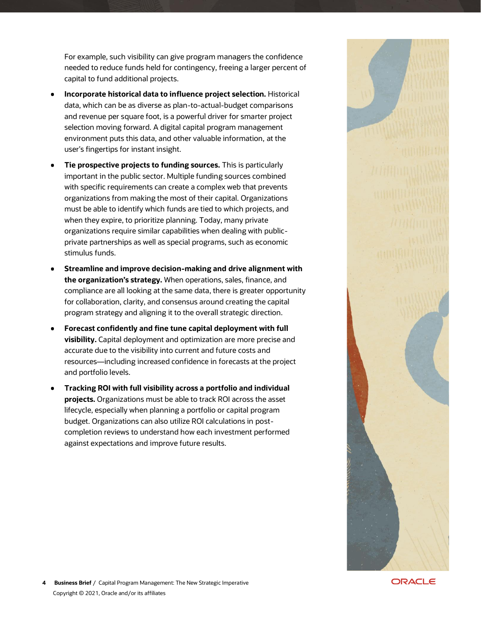For example, such visibility can give program managers the confidence needed to reduce funds held for contingency, freeing a larger percent of capital to fund additional projects.

- **Incorporate historical data to influence project selection.** Historical data, which can be as diverse as plan-to-actual-budget comparisons and revenue per square foot, is a powerful driver for smarter project selection moving forward. A digital capital program management environment puts this data, and other valuable information, at the user's fingertips for instant insight.
- **Tie prospective projects to funding sources.** This is particularly important in the public sector. Multiple funding sources combined with specific requirements can create a complex web that prevents organizations from making the most of their capital. Organizations must be able to identify which funds are tied to which projects, and when they expire, to prioritize planning. Today, many private organizations require similar capabilities when dealing with publicprivate partnerships as well as special programs, such as economic stimulus funds.
- **Streamline and improve decision-making and drive alignment with the organization's strategy.** When operations, sales, finance, and compliance are all looking at the same data, there is greater opportunity for collaboration, clarity, and consensus around creating the capital program strategy and aligning it to the overall strategic direction.
- **Forecast confidently and fine tune capital deployment with full visibility.** Capital deployment and optimization are more precise and accurate due to the visibility into current and future costs and resources―including increased confidence in forecasts at the project and portfolio levels.
- **Tracking ROI with full visibility across a portfolio and individual projects.** Organizations must be able to track ROI across the asset lifecycle, especially when planning a portfolio or capital program budget. Organizations can also utilize ROI calculations in postcompletion reviews to understand how each investment performed against expectations and improve future results.



**ORACLE**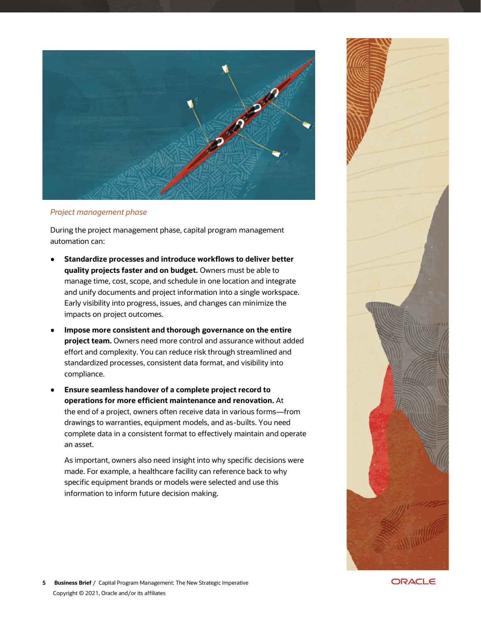

## *Project management phase*

During the project management phase, capital program management automation can:

- **Standardize processes and introduce workflows to deliver better quality projects faster and on budget.** Owners must be able to manage time, cost, scope, and schedule in one location and integrate and unify documents and project information into a single workspace. Early visibility into progress, issues, and changes can minimize the impacts on project outcomes.
- **Impose more consistent and thorough governance on the entire project team.** Owners need more control and assurance without added effort and complexity. You can reduce risk through streamlined and standardized processes, consistent data format, and visibility into compliance.
- **Ensure seamless handover of a complete project record to operations for more efficient maintenance and renovation.** At the end of a project, owners often receive data in various forms—from drawings to warranties, equipment models, and as-builts. You need complete data in a consistent format to effectively maintain and operate an asset.

As important, owners also need insight into why specific decisions were made. For example, a healthcare facility can reference back to why specific equipment brands or models were selected and use this information to inform future decision making.



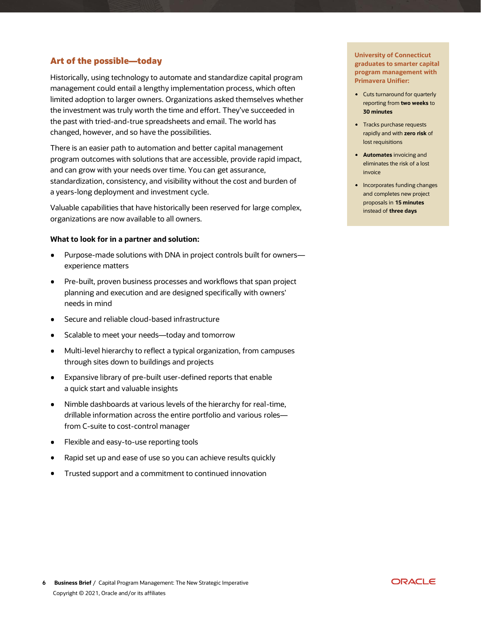# **Art of the possible―today**

Historically, using technology to automate and standardize capital program management could entail a lengthy implementation process, which often limited adoption to larger owners. Organizations asked themselves whether the investment was truly worth the time and effort. They've succeeded in the past with tried-and-true spreadsheets and email. The world has changed, however, and so have the possibilities.

There is an easier path to automation and better capital management program outcomes with solutions that are accessible, provide rapid impact, and can grow with your needs over time. You can get assurance, standardization, consistency, and visibility without the cost and burden of a years-long deployment and investment cycle.

Valuable capabilities that have historically been reserved for large complex, organizations are now available to all owners.

## **What to look for in a partner and solution:**

- Purpose-made solutions with DNA in project controls built for owners experience matters
- Pre-built, proven business processes and workflows that span project planning and execution and are designed specifically with owners' needs in mind
- Secure and reliable cloud-based infrastructure
- Scalable to meet your needs―today and tomorrow
- Multi-level hierarchy to reflect a typical organization, from campuses through sites down to buildings and projects
- Expansive library of pre-built user-defined reports that enable a quick start and valuable insights
- Nimble dashboards at various levels of the hierarchy for real-time, drillable information across the entire portfolio and various roles― from C-suite to cost-control manager
- Flexible and easy-to-use reporting tools
- Rapid set up and ease of use so you can achieve results quickly
- Trusted support and a commitment to continued innovation

**University of Connecticut graduates to smarter capital program management with Primavera Unifier:**

- Cuts turnaround for quarterly reporting from **two weeks** to **30 minutes**
- Tracks purchase requests rapidly and with **zero risk** of lost requisitions
- **Automates** invoicing and eliminates the risk of a lost invoice
- Incorporates funding changes and completes new project proposals in **15 minutes**  instead of **three days**